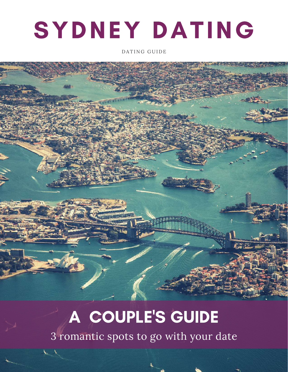# SYDNEY DATING

DATING GUIDE

## A COUPLE'S GUIDE

3 romantic spots to go with your date

 $\sqrt{2}$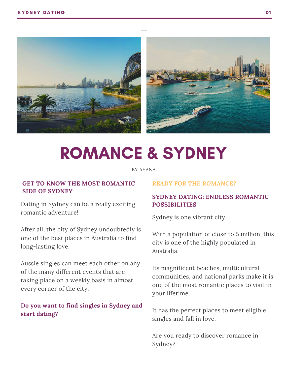

## ROMANCE & SYDNEY

BY [AYANA](https://www.best-dating-sites-online.co.uk/news/)

#### **GET TO KNOW THE MOST ROMANTIC SIDE OF SYDNEY**

Dating in Sydney can be a really exciting romantic adventure!

After all, the city of Sydney undoubtedly is one of the best places in Australia to find long-lasting love.

Aussie singles can meet each other on any of the many different events that are taking place on a weekly basis in almost every corner of the city.

#### **Do you want to find singles in Sydney and start dating?**

#### *READY FOR THE ROMANCE?*

#### **SYDNEY DATING: ENDLESS ROMANTIC POSSIBILITIES**

Sydney is one vibrant city.

With a population of close to 5 million, this city is one of the highly populated in Australia.

Its magnificent beaches, multicultural communities, and national parks make it is one of the most romantic places to visit in your lifetime.

It has the perfect places to meet eligible singles and fall in love.

Are you ready to discover romance in Sydney?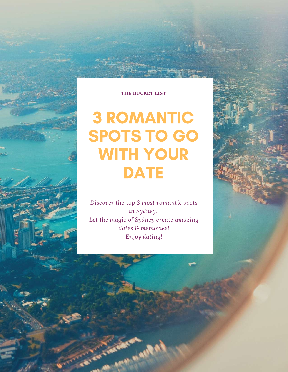#### **THE BUCKET LIST**

### 3 ROMANTIC SPOTS TO GO WITH YOUR **DATE**

*Discover the top 3 most romantic spots in Sydney. Let the magic of Sydney create amazing dates & memories! Enjoy dating!*

**CONTRACTOR**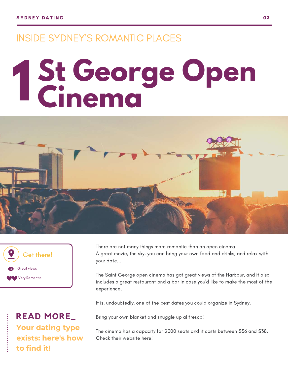### INSIDE SYDNEY'S ROMANTIC PLACES

# **St George Open Cinema 1**





**Your [dating](https://www.best-dating-sites-online.co.uk/2019/07/find-dating-type/) type exists: here's how to find it! READ MORE\_**

There are not many things more romantic than an open cinema. A great movie, the sky, you can bring your own food and drinks, and relax with your date...

The Saint George open cinema has got great views of the Harbour, and it also includes a great restaurant and a bar in case you'd like to make the most of the experience.

It is, [undoubtedly,](https://www.stgeorgeopenair.com.au/) one of the best dates you could organize in Sydney.

Bring your own blanket and snuggle up al fresco!

The cinema has a capacity for 2000 seats and it costs between \$36 and \$38. Check their website here!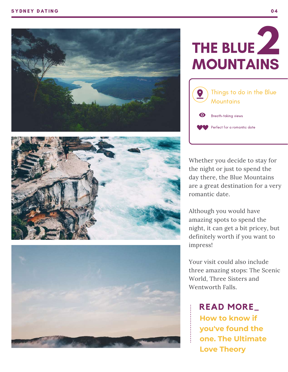





### UE **MOUNTAIN! 2<br>Sins**



Whether you decide to stay for the night or just to spend the day there, the Blue Mountains are a great destination for a very romantic date.

Although you would have amazing spots to spend the night, it can get a bit pricey, but definitely worth if you want to impress!

Your visit could also include three amazing stops: The Scenic World, Three Sisters and Wentworth Fall

**How to know if y o u'v e f o u n d t h e one. The [Ult](https://www.best-aussie-dating.com/2019/05/love-theory-the-one/)imate Love Theory**  $R$  **EAD MORE**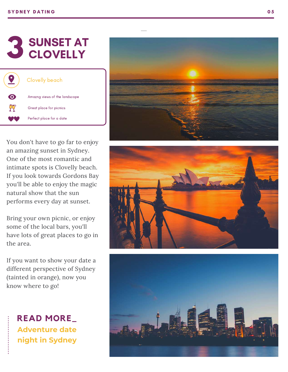| <b>Clovelly beach</b>         |
|-------------------------------|
| Amazng views of the landscape |
| Great place for picnics       |
| Perfect place for a date      |

You don't have to go far to enjoy an amazing sunset in Sydney. One of the most romantic and intimate spots is Clovelly beac h. If you look towards Gordons Bay you'll be able to enjoy the magic natural show that the sun performs every day at sunset. **33 CLOVELLY**<br> **3** [Clovelly](https://www.google.com/search?rlz=1C5CHFA_enES859ES859&ei=--k-XZyZBNSx8gLn_JyQAg&q=clovelly+beach+sydney&oq=clovelly+beach+sydney&gs_l=psy-ab.3..0i7i30j0j0i30l5j0i5i30l3.1957175.1957996..1958450...0.0..0.78.441.6......0....1..gws-wiz.......0i71j0i8i7i30j0i13i30j0i7i5i30.77EsVk1tnSI&ved=0ahUKEwjcgo3uk9rjAhXUmFwKHWc-ByIQ4dUDCAo&uact=5) beach<br> **3** Creat place for [picnics](http://bit-ly/2Ghdkw1)<br> [Perfect](http://bit-ly/2Ghdkw1) place for a date<br>
You don't have to go far to eng<br>
an a mazing sunset in Sydney.<br>
One of the most romantic and<br>
intimate spots is Clovelly bead<br>
If yo **NORE THE SYDNEST AND SET AND SET AND SET AND SET A**<br> **CLOVELLY**<br> **CLOVELLY**<br> **Portect place for plenies**<br> **in** amazing sumset in Sydne of the most romantic intimate spots is Clovelly because in Sydne of the most romantic

Bring your own picnic, or enjoy some of the local bars, you'll have lots of great places to go in the area.

If you want to show your date a different perspective of Sydney (tainted in orange), now you

**[Adventure](https://www.best-aussie-dating.com/2019/07/date-nights-sydney/) date**